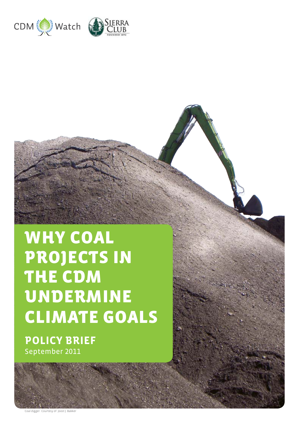

# WHY COAL PROJECTS IN THE CDM UNDERMINE CLIMATE GOALS

**POLICY BRIEF**  September 2011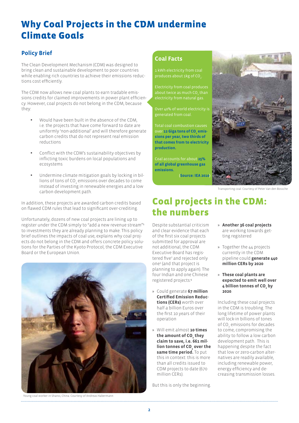# Why Coal Projects in the CDM undermine Climate Goals

## **Policy Brief**

The Clean Development Mechanism (CDM) was designed to bring clean and sustainable development to poor countries while enabling rich countries to achieve their emissions reductions cost efficiently.

The CDM now allows new coal plants to earn tradable emissions credits for claimed improvements in power plant efficiency. However, coal projects do not belong in the CDM, because they:

- Would have been built in the absence of the CDM. i.e. the projects that have come forward to date are uniformly 'non-additional' and will therefore generate carbon credits that do not represent real emission reductions
- Conflict with the CDM's sustainability objectives by inflicting toxic burdens on local populations and ecosystems
- Undermine climate mitigation goals by locking in billions of tons of CO $_{_2}$  emissions over decades to come instead of investing in renewable energies and a low carbon development path.

In addition, these projects are awarded carbon credits based on flawed CDM rules that lead to significant over-crediting.

Unfortunately, dozens of new coal projects are lining up to register under the CDM simply to "add a new revenue stream"<sup>1</sup> to investments they are already planning to make. This policy brief outlines the impacts of coal use, explains why coal projects do not belong in the CDM and offers concrete policy solutions for the Parties of the Kyoto Protocol, the CDM Executive Board or the European Union.



# **Coal Facts**

1 kWh electricity from coal produces about 1kg of CO<sub>2</sub>.

Electricity from coal produces about twice as much  $\mathsf{CO}_2^{}$  than electricity from natural gas.

Over 40% of world electricity is generated from coal.

Total coal combustion causes over **12 Giga tons of CO<sub>2</sub> emis [sions per year, two thirds of](http://www.iea.org/co2highlights/co2highlights.pdf)  [that comes from to electricity](http://www.iea.org/co2highlights/co2highlights.pdf)  [production.](http://www.iea.org/co2highlights/co2highlights.pdf)**

Coal accounts for about **[25%](http://www.ipcc.ch/publications_and_data/ar4/wg3/en/figure-1-1.html)  [of all global greenhouse gas](http://www.ipcc.ch/publications_and_data/ar4/wg3/en/figure-1-1.html)  [emissions](http://www.ipcc.ch/publications_and_data/ar4/wg3/en/figure-1-1.html).**

(**Source: IEA 2010**)



[Transporting coal. Courtesy of Peter Van den Bossche](http://www.flickr.com/photos/lhoon/)

# Coal projects in the CDM: the numbers

Despite substantial criticism and clear evidence that each of the first six coal projects submitted for approval are not additional, the CDM Executive Board has registered five<sup>2</sup> and rejected only one3 (and that project is planning to apply again). The four Indian and one Chinese registered projects:<sup>4</sup>

- » Could generate **67 million Certified Emission Reductions (CERs)** worth over half a billion Euros over the first 10 years of their operation
- » Will emit almost **10 times**  the amount of CO<sub>2</sub> they **claim to save, i.e. 661 mil**lion tonnes of CO<sub>2</sub> over the **same time period.** To put this in context: this is more than all credits issued to CDM projects to date (670 million CERs).

But this is only the beginning.

- » **Another 36 coal projects** are working towards getting registered
- » Together the 44 projects currently in the CDM pipeline could **generate 440 million CERs by 2020**
- » **These coal plants are expected to emit well over 4** billion tonnes of CO<sub>2</sub> by **2020**.

Including these coal projects in the CDM is troubling. The long lifetime of power plants will lock-in billions of tones of CO $_{2}$  emissions for decades to come, compromising the ability to follow a low carbon development path. This is happening despite the fact that low or zero-carbon alternatives are readily available, including renewable power, energy efficiency and decreasing transmission losses.

[Young coal worker in Shanxi, China. Courtesy of Andreas Habermann](http://www.flickr.com/photos/andi808/)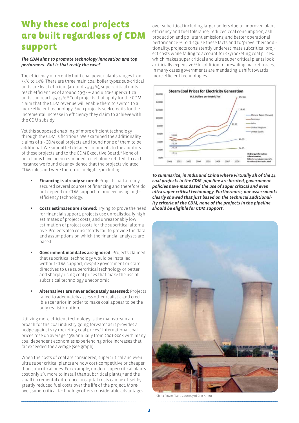# Why these coal projects are built regardless of CDM support

### *The CDM aims to promote technology innovation and top performers. But is that really the case?*

The efficiency of recently built coal power plants ranges from 33% to 43%. There are three main coal boiler types: sub-critical units are least efficient (around 25-33%), super-critical units reach efficiencies of around 29-38% and ultra-super-critical units can reach 34-43%.**<sup>5</sup>** Coal projects that apply for the CDM claim that the CDM revenue will enable them to switch to a more efficient technology. Such projects seek credits for the incremental increase in efficiency they claim to achieve with the CDM subsidy.

Yet this supposed enabling of more efficient technology through the CDM is fictitious: We examined the additionality claims of 19 CDM coal projects and found none of them to be additional. We submitted detailed comments to the auditors of these projects and to the CDM Executive Board. 6 None of our claims have been responded to, let alone refuted. In each instance we found clear evidence that the projects violated CDM rules and were therefore ineligible, including:

- **Financing is already secured:** Projects had already secured several sources of financing and therefore do not depend on CDM support to proceed using highefficiency technology.
- **Costs estimates are skewed:** Trying to prove the need for financial support, projects use unrealistically high estimates of project costs, and unreasonably low estimation of project costs for the subcritical alternative. Projects also consistently fail to provide the data and assumptions on which the financial analyses are based.
- **Government mandates are ignored: Projects claimed** that subcritical technology would be installed without CDM support, despite government or state directives to use supercritical technology or better and sharply rising coal prices that make the use of subcritical technology uneconomic.
- • **Alternatives are never adequately assessed:** Projects failed to adequately assess other realistic and credible scenarios in order to make coal appear to be the only realistic option.

Utilizing more efficient technology is the mainstream approach for the coal industry going forward<sup>7</sup> as it provides a hedge against sky-rocketing coal prices.<sup>8</sup> International coal prices rose on average 13% annually from 2001-2008 with many coal dependent economies experiencing price increases that far exceeded the average (see graph).

When the costs of coal are considered, supercritical and even ultra super critical plants are now cost-competitive or cheaper than subcritical ones. For example, modern supercritical plants cost only 2% more to install than subcritical plants,<sup>9</sup> and the small incremental difference in capital costs can be offset by greatly reduced fuel costs over the life of the project. Moreover, supercritical technology offers considerable advantages

over subcritical including larger boilers due to improved plant efficiency and fuel tolerance; reduced coal consumption, ash production and pollutant emissions; and better operational performance. 10 To disguise these facts and to 'prove' their additionality, projects consistently underestimate subcritical project costs while failing to account for skyrocketing coal prices, which makes super critical and ultra super critical plants look artificially expensive.11 In addition to prevailing market forces, in many cases governments are mandating a shift towards more efficient technologies.



*To summarize, in India and China where virtually all of the 44 coal projects in the CDM pipeline are located, government policies have mandated the use of super critical and even ultra super critical technology. Furthermore, our assessments clearly showed that just based on the technical additionality criteria of the CDM, none of the projects in the pipeline should be eligible for CDM support.*



[China Power Plant. Courtesy of Bret Arnett](http://www.flickr.com/x/t/0148002/photos/bretarnett/)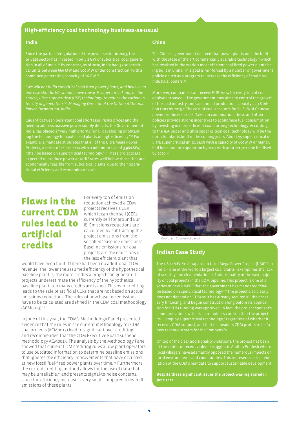### **High-efficiency coal technology business-as-usual**

### **India**

Since the partial deregulation of the power sector in 2003, the cal units between 660 MW and 800 MW under construction, with a combined generating capacity of 26 GW.25

*"We will not build subcritical coal-fired power plants, and believe no one else should. We should move towards supercritical and, in due course, ultra-supercritical (USC) technology, to reduce the carbon intensity of generation."26 Managing Director of the National Thermal Power Corporation, India*

Caught between persistent coal shortages, rising prices and the need to address massive power supply deficits, the Government of India has placed a "very high priority [on]… developing or obtaining the technology for coal-based plants of high efficiency."<sup>27</sup> For example, a mandate stipulates that all of the Ultra Mega Power Projects, a series of 14 projects with a minimum size of 3,960 MW, "shall be based on supercritical technology."28 These projects are

# Flaws in the current CDM rules lead to artificial credits

For every ton of emission reduction achieved a CDM projects receives a CER which it can then sell (CERs currently sell for around Eur 8). Emissions reductions are calculated by subtracting the project emissions from the so called 'baseline emissions'. Baseline emissions for coal projects are the emissions of the less efficient plant that

would have been built if there had been no additional CDM revenue. The lower the assumed efficiency of the hypothetical baseline plant is, the more credits a project can generate. If projects underestimate the efficiency of the hypothetical baseline plant, too many credits are issued. This over-crediting leads to the sale of artificial CERs that are not based on actual emissions reductions. The rules of how baseline emissions have to be calculated are defined in the CDM coal methodology (ACM0013).12

In June of this year, the CDM's Methodology Panel presented evidence that the rules in the current methodology for CDM coal projects (ACM0013) lead to significant over-crediting and recommended that the CDM Executive Board suspend methodology ACM0013. The analysis by the Methodology Panel showed that current CDM crediting rules allow plant operators to use outdated information to determine baseline emissions that ignores the efficiency improvements that have occurred at new fossil fuel-fired power plants over time. 13 Furthermore, the current crediting method allows for the use of data that may be unreliable,14 and presents signal-to-noise concerns, since the efficiency increase is very small compared to overall emissions of these plants.

#### **China**

with the state of the art commercially available technology<sup>29</sup> which has resulted in the world's most efficient coal fired power plants being built in China. This goal is reinforced by a number of government policies: such as a program to increase the efficiency of coal-fired .<br>industrial boilers.<sup>30</sup>

Moreover, companies can receive EUR 20-24 for every ton of coal equivalent saved.31 The government now aims to control the growth lion tons by 2015.32 The cost of coal accounts for 60-80% of Chinese power producers' costs. Taken in combination, these and other policies provide strong incentives to economise fuel consumption by investing in more efficient coal burning technology. According to the IEA, super and ultra super critical coal technology will be the norm for plants built in the coming years. About 95 super critical or had been put into operation by 2007 with another 70 to be finalised by 2010.<sup>33</sup>



[Coal plant. Courtesy of davipt](www.flickr.com/photos/davip)

### **Indian Case Study**

The 4,800 MW Krishnapatnam Ultra Mega Power Project (UMPP) in India – one of the world's largest coal plants - exemplifies the lack of scrutiny and clear violations of additionality of the vast majority of coal projects in the CDM pipeline. This project is one of a be based on supercritical technology<sup>34</sup>." The project also clearly sary financing, and begun construction long before its applica-"will employ supercritical technology," regardless of whether it receives CDM support, and that it considers CDM profits to be "a new revenue stream for the Company"35.

at the center of recent violent struggles in Andhra Pradesh where local villagers have adamantly opposed the numerous impacts on lation of the CDM's mandate to support sustainable development.

**Despite these significant issues the project was registered in June 2011.**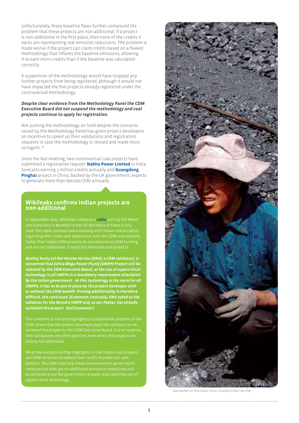Unfortunately, these baseline flaws further compound the problem that these projects are non-additional. If a project is non-additional in the first place, then none of the credits it earns are representing real emission reductions. The problem is made worse if the project can claim credits based on a flawed methodology that inflates the baseline emissions, allowing it to earn more credits than if the baseline was calculated correctly.

A suspension of the methodology would have stopped any further projects from being registered, although it would not have impacted the five projects already registered under the controversial methodology.

#### *Despite clear evidence from the Methodology Panel the CDM Executive Board did not suspend the methodology and coal projects continue to apply for registration.*

Not putting the methodology on hold despite the concerns raised by the Methodology Panel has given project developers an incentive to speed up their validations and registration requests in case the methodology is revised and made more stringent.<sup>15</sup>

Since the last meeting, two controversial coal projects have submitted a registration request: **[Nabha Power Limited](http://www.cdm-watch.org/wordpress/wp-content/uploads/2010/02/CDMWatch_comments_on_grid_connected_energy_efficient_power_generation_by_NPL.pdf)** in India forecasts earning 1 million credits annually and **[Guangdong](http://cdm.unfccc.int/Projects/Validation/DB/0QKOVR1MOJ5J5VFLB5UJ4Y14X3WO86/view.html)  [Pinghai](http://cdm.unfccc.int/Projects/Validation/DB/0QKOVR1MOJ5J5VFLB5UJ4Y14X3WO86/view.html)** project in China, backed by the UK government, expects to generate more than 600.000 CERs annually.

### **Wikileaks confirms Indian projects are non-additional**

In September 2011, Wikileaks released a **[cable](http://wikileaks.org/cable/2008/07/08MUMBAI340.html)** sent by the American Consulate in Mumbai to the US Secretary of State in July 2008. The cable summarised a meeting with Indian industrialists regarding their views and experience with the CDM and candidly states that Indian CDM projects do not depend on CDM funding and are not additional. It explicitly mentions coal projects:

*Mathsy Kutty [of Det Norske Veritas (DNV), a CDM validator], is concerned that [Ultra Mega Power Plant] (UMPP) Project will be rejected by the CDM Executive Board, as the use of supercritical technology in all UMPPs is a mandatory requirement stipulated by the Indian government. As this technology is the norm for all UMPPs, it has to be put in place by the project developer with or without the CDM benefit. Proving additionality is therefore difficult, she continued. (Comment: Ironically, DNV acted as the validator for the Mundra UMPP and, as per Patkar, has already validated the project. End Comment.)*

The comment at the end highlights a fundamental problem of the CDM: Given that the project developer pays the validator to recommend the project to the CDM Executive Board, it is no surprise that validations are often positive, even when the projects are clearly not additional.

What the excerpts further highlights is that Indian coal projects use CDM revenues to reduce their tariffs to under-bid comconstruction bids yet no additional emissions reductions will supercritical technology.



[Coal workers in Shizuishan, China. Courtesy of Bert van Dijk](http://www.flickr.com/x/t/0147002/photos/zilpho/)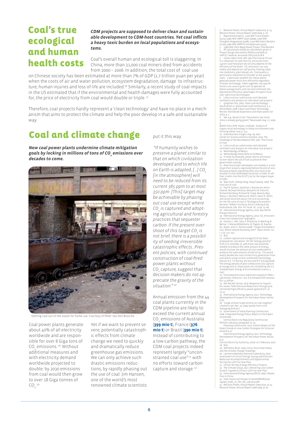# Coal's true ecological and human health costs

*CDM projects are supposed to deliver clean and sustainable development to CDM-host countries. Yet coal inflicts a heavy toxic burden on local populations and ecosystems.*

Coal's overall human and ecological toll is staggering. In China, more than 31,000 coal miners died from accidents from 2000 – 2006. In addition, the total cost of coal use

on Chinese society has been estimated at more than 7% of GDP (1.7 trillion yuan per year) when the costs of air and water pollution, ecosystem degradation, damage to infrastructure, human injuries and loss of life are included.16 Similarly, a recent study of coal impacts in the US estimated that if the environmental and health damages were fully accounted for, the price of electricity from coal would double or triple. 17

Therefore, coal projects hardly represent a 'clean technology' and have no place in a mechanism that aims to protect the climate and help the poor develop in a safe and sustainable way.

# Coal and climate change

*New coal power plants undermine climate mitigation goals by locking in millions of tons of CO2 emissions over decades to come.* 



[Getting coal out of the waste for home use. Courtesy of Peter Van den Bossche](http://www.flickr.com/photos/lhoon/)

Coal power plants generate about 40% of all electricity worldwide and are responsible for over 8 Giga tons of  $CO<sub>2</sub>$  emissions.<sup>18</sup> Without additional measures and with electricity demand worldwide projected to double: by 2030 emissions from coal would then grow to over 18 Giga tonnes of  $CO_{2}^{-19}$ .

Yet if we want to prevent severe, potentially catastrophic effects from climate change we need to quickly and dramatically reduce greenhouse gas emissions. We can only achieve such drastic emissions reductions, by rapidly phasing out the use of coal. Jim Hansen, one of the world's most renowned climate scientists

put it this way:

 *"If humanity wishes to preserve a planet similar to that on which civilization developed and to which life on Earth is adapted, [...] CO<sub>2</sub> [in the atmosphere] will need to be reduced from its current 385 ppm to at most 350 ppm. [This] target may be achievable by phasing out coal use except where CO2 is captured and adopting agricultural and forestry practices that sequester carbon. If the present overshoot of this target CO2 is not brief, there is a possibility of seeding irreversible catastrophic effects…Present policies, with continued construction of coal-fired power plants without CO2 capture, suggest that decision-makers do not appreciate the gravity of the situation." 20*

Annual emission from the 44 coal plants currently in the CDM pipeline are likely to exceed the current annual CO<sub>2</sub> emissions of Australia (**[399 mio t](http://mdgs.un.org/unsd/mdg/SeriesDetail.aspx?srid=749&crid=)**), France (**[376](http://mdgs.un.org/unsd/mdg/SeriesDetail.aspx?srid=749&crid=)  [mio t](http://mdgs.un.org/unsd/mdg/SeriesDetail.aspx?srid=749&crid=)**) or Brazil (**[390 mio t](http://mdgs.un.org/unsd/mdg/SeriesDetail.aspx?srid=749&crid=)**). Instead of contributing to a low-carbon pathway, the CDM coal projects indeed represent largely "unconstrained coal use"*<sup>21</sup>* with no efforts toward carbon capture and storage.*<sup>22</sup>*

1 Reliance Power, Annual Report 2009-2010, p. 24, Reliance Power, Annual Report 2008-2009, p. 18. 2 Registered projects: 1,320 MW Tirora project (3225); 3,960 MW UMPP Sasan (3690); 2,000 MW Shanghai Waigaoqiao (3288); 1,320 MW Adani Mundra (2716); 3,960 MW UMPP Krishnapatnam (4533); 3 3,960 MW Ultra Mega Power Project Tata Mundra 4 All calculations based on information given in oject Design Documents (PDDs) available at [UNFCCC website.](http://cdm.unfccc.int/Projects/projsearch.html) Assumed CER price EUR 8. 5 Values taken from: MIT, 2007[.The Future of Coal.](http://web.mit.edu/coal/The_Future_of_Coal.pdf)

It is important to note that CO<sub>2</sub> emissions from<br>a given coal-fired plant do not only depend on the efficiency of the boiler. CO<sub>2</sub> emissions can vary<br>widely and depend on coal quality, heating value, site conditions, plant design, etc. Coal quality is particularly important to consider as low quality coals – a particular problem for Indian plants generate power much less efficiently regardless of boiler technology. Taken together, site-specific factors can cause a given unit to operate far below average levels, and can even eliminate the operational efficiency advantages of supercritical over subcritical technologies. **Exercise Company Constructs** 

nments and analysis on individual coal project 7 Qingshan Zhu, 2005. [Clean coal technology–](http://www.interacademycouncil.net/Object.File/Draft/10/338/0.pdf)  cation vs. (pulverized coal) combustion, p. 4. World Bank, 2008. [Clean Coal Power Technology](http://moef.nic.in/downloads/public-information/LCGIndiaCCTjune2008.pdf)  [Review: Worldwide Experience and Implications for](http://moef.nic.in/downloads/public-information/LCGIndiaCCTjune2008.pdf)  [India,](http://moef.nic.in/downloads/public-information/LCGIndiaCCTjune2008.pdf) p. 2.

8 See, e.g., David Victor, "He protests too much; India is already going green," Newsweek, Aug. 17, 2009

9 Boben Anto, M.M. Hasan, undated. Analysis of Supercritical technology in Indian Environment and Utilizing Indian coal, p. 113.

10 India Business Insight, Aug. 29, 2007. Center for Science and Environment, 2010. [The](http://www.cseindia.org/content/challenge-new-balance)  [Challenge of the New Balance](http://www.cseindia.org/content/challenge-new-balance) MIT, 2007. [The Future](http://web.mit.edu/coal/The_Future_of_Coal.pdf)  [of Coal](http://web.mit.edu/coal/The_Future_of_Coal.pdf) 11 [Links to all our submissions](http://www.cdm-watch.org/?page_id=711) with detailed

ments and analysis on individual coal projects 12 [Methodology ACM0013](http://cdm.unfccc.int/methodologies/DB/4WI60R4AYL8NRPAPIVSWTRK4C6EVBQ)  13 [Methodology Panel Note on ACM0013](http://cdm.unfccc.int/Panels/meth/meeting/11/050/mp50_an09.pdf)

14 In India for example, power plants are known to over report the use of fuel to preserve their

government subsidy.<br>15 Note that project developers are already in a rush<br>10 get their projects registered before the end of 2012<br>because projects registered after 2012 have to be<br>located in [Least Developed Countries](http://www.unohrlls.org/en/ldc/25/) in or their credits into the EU-ETS, by far the largest buyer of CERs.

16 Mao Yushi, Sheng Hong, Yang Fuqiang. 2008. [The](http://www.greenpeace.org/eastasia/PageFiles/301168/the-true-cost-of-coal.pdf) 

true cost of coal.<br>17 Paul R. Epstein, Jonathan J. Buonocore, Kevin<br>Eckerle, Michael Hendryx, Benjamin M. Stout III,<br>Richard Heinberg, Richard W. Clapp, Beverly May,<br>Nancy L. Reinhart, Melissa M. Ahern, Samir K. Doshi, and Leslie Glustrom (2011). [Full cost accounting](http://solar.gwu.edu/index_files/Resources_files/epstein_full%20cost%20of%20coal.pdf)  [for the life cycle of coal in "Ecological Economics](http://solar.gwu.edu/index_files/Resources_files/epstein_full%20cost%20of%20coal.pdf)  [Reviews."](http://solar.gwu.edu/index_files/Resources_files/epstein_full%20cost%20of%20coal.pdf) Robert Costanza, Karin Limburg & Ida Kubiszewski, Eds. Ann. N.Y. Acad. Sci. 1219: 73–98.

18 International Energy Agency, 2010. Key World<br>
18 International Energy Agency, 2010. CO<sub>2</sub> Emissions<br>
19 International Energy Agency, 2010. CO<sub>2</sub> Emissions<br>
20 Hansen, J., Mki. Sato, P. Kharecha, D. Beerling, R.<br>
Berner,

21 lbid.<br>
22 Carbon capture and storage (CCS) has been<br>
22 Carbon capture and storage (CCS) has been<br>
from CCS, whereby 25-40% more coal would be<br>
needed to produce the same amount of energy,<br>
would increase the amount of coal plants using current combustion technology.<br>(House, K.Z., C.F.Harvey, M.J.Aziz and D.P. Schrag (2009).<br>The energy penalty of post-combustion CO2 capture<br>& storage and its implications for retrofitting the U.S.<br>install

193)<br>23 Estimated emissions reductions based on PDDs =<br>438 million, CER price = Eur 8, Estimated CER revenue:<br>Eur 3.5 billion<br>24 Det Norske Veritas, 2010. Response to request<br>for review "GHG Emission Reductions through gri

12-13. 25 International Energy Agency, 2011. [Technology](http://www.iea.org/papers/2011/technology_development_india.pdf)  [Development Prospects for the Indian Power Sector,](http://www.iea.org/papers/2011/technology_development_india.pdf)

p.46. 26 ["Large utilities to get priority on coal supplies](http://www.livemint.com/2009/12/23234919/Large-utilities-to-get-priorit.html)," Livemint.com, Dec. 23, 2009, (quote from a CLP managing director). 27 Government of India Planning Commission,

dovernment of mula Framing Commission,<br>i6. Integrated Energy Policy. Report of the Expert

[Committee](http://planningcommission.nic.in/reports/genrep/rep_intengy.pdf). Central Electricity Regulatory Commission, [Petition 128/2010](http://www.cercind.gov.in/2010/ORDER/July/signed_order_in_Pet_No_128-2010.pdf); paragraph 22, 25. Planning Commission, 2011. [Interim Report of the](http://moef.nic.in/downloads/public-information/Interim%20Report%20of%20the%20Expert%20Group.pdf)  [Expert Group on Low Carbon Strategies for Inclusive](http://moef.nic.in/downloads/public-information/Interim%20Report%20of%20the%20Expert%20Group.pdf) 

[Growth](http://moef.nic.in/downloads/public-information/Interim%20Report%20of%20the%20Expert%20Group.pdf) p.37 International Energy Agency, 2011: [Technology](http://www.iea.org/papers/2011/technology_development_india.pdf)  [Development Prospects for the Indian Power Sector,](http://www.iea.org/papers/2011/technology_development_india.pdf) p.47

,<br>ntral Electricity Authority, [Letter of 2 February 2010](http://www.cea.nic.in/more_upload/advisory_mop_sourcing_domestic_mfrs.pdf)<br>Thid

28 Ibid.<br>29 IWI Policy Brief, 2009. China, the United States,<br>[and the Climate Change Challenge](http://pdf.wri.org/china_united_states_climate_change_challenge.pdf)<br>30 Lawrence Berkeley National Laboratory, 2010.<br>Assessment of China's Energy-Saving and Emission<br>Reduction Accomplishments and

[During the 11th Five Year Plan.](http://escholarship.org/uc/item/5m16h64p)<br>31 [China's Ten Key Energy Efficiency Projects](http://www.chinafaqs.org/files/chinainfo/ChinaFAQs_China)<br>32 The Climate Group, 2011. Delivering Low Carbon<br>Growth. A guide to China's 12th Five Year Plan<br>33 Thternational Energy Agency/OECD, 2009. Clea

34 http://www.cercind.gov.in/2010/ORDER/July/<br>signed\_order\_in\_Pet\_No\_128-2010.pdf<br>35 Reliance Power, Annual Report 2009-2010, at 24,<br>Reliance Power, Annual Report 2008-2009, at 18.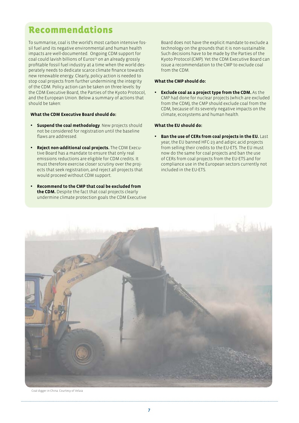# Recommendations

To summarise, coal is the world's most carbon intensive fossil fuel and its negative environmental and human health impacts are well-documented. Ongoing CDM support for coal could lavish billions of Euros<sup>23</sup> on an already grossly profitable fossil fuel industry at a time when the world desperately needs to dedicate scarce climate finance towards new renewable energy. Clearly, policy action is needed to stop coal projects from further undermining the integrity of the CDM. Policy action can be taken on three levels: by the CDM Executive Board, the Parties of the Kyoto Protocol, and the European Union. Below a summary of actions that should be taken:

#### **What the CDM Executive Board should do:**

- **Suspend the coal methodology**. New projects should not be considered for registration until the baseline flaws are addressed.
- • **Reject non-additional coal projects.** The CDM Executive Board has a mandate to ensure that only real emissions reductions are eligible for CDM credits. It must therefore exercise closer scrutiny over the projects that seek registration, and reject all projects that would proceed without CDM support.
- **Recommend to the CMP that coal be excluded from the CDM.** Despite the fact that coal projects clearly undermine climate protection goals the CDM Executive

Board does not have the explicit mandate to exclude a technology on the grounds that it is non-sustainable. Such decisions have to be made by the Parties of the Kyoto Protocol (CMP). Yet the CDM Executive Board can issue a recommendation to the CMP to exclude coal from the CDM.

### **What the CMP should do:**

**Exclude coal as a project type from the CDM.** As the CMP had done for nuclear projects (which are excluded from the CDM), the CMP should exclude coal from the CDM, because of its severely negative impacts on the climate, ecosystems and human health.

#### **What the EU should do:**

**Ban the use of CERs from coal projects in the EU.** Last year, the EU banned HFC-23 and adipic acid projects from selling their credits to the EU-ETS. The EU must now do the same for coal projects and ban the use of CERs from coal projects from the EU-ETS and for compliance use in the European sectors currently not included in the EU-ETS.



[Coal digger in China. Courtesy of Velaia](http://www.flickr.com/photos/velaia/)